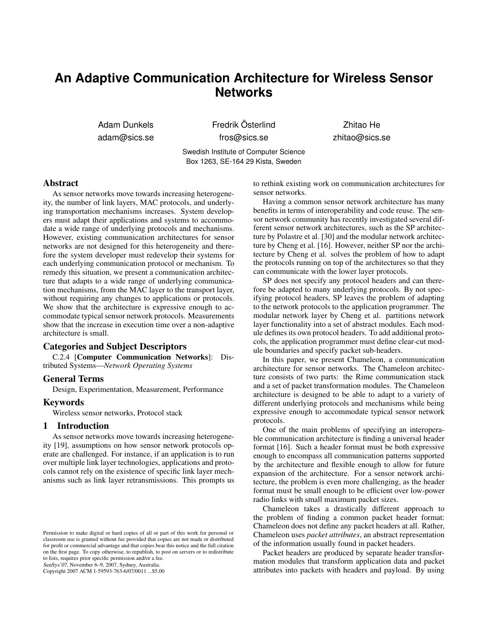# **An Adaptive Communication Architecture for Wireless Sensor Networks**

Adam Dunkels adam@sics.se Fredrik Österlind fros@sics.se

Zhitao He zhitao@sics.se

Swedish Institute of Computer Science Box 1263, SE-164 29 Kista, Sweden

# Abstract

As sensor networks move towards increasing heterogeneity, the number of link layers, MAC protocols, and underlying transportation mechanisms increases. System developers must adapt their applications and systems to accommodate a wide range of underlying protocols and mechanisms. However, existing communication architectures for sensor networks are not designed for this heterogeneity and therefore the system developer must redevelop their systems for each underlying communication protocol or mechanism. To remedy this situation, we present a communication architecture that adapts to a wide range of underlying communication mechanisms, from the MAC layer to the transport layer, without requiring any changes to applications or protocols. We show that the architecture is expressive enough to accommodate typical sensor network protocols. Measurements show that the increase in execution time over a non-adaptive architecture is small.

# Categories and Subject Descriptors

C.2.4 [Computer Communication Networks]: Distributed Systems—*Network Operating Systems*

# General Terms

Design, Experimentation, Measurement, Performance

# Keywords

Wireless sensor networks, Protocol stack

#### 1 Introduction

As sensor networks move towards increasing heterogeneity [19], assumptions on how sensor network protocols operate are challenged. For instance, if an application is to run over multiple link layer technologies, applications and protocols cannot rely on the existence of specific link layer mechanisms such as link layer retransmissions. This prompts us

SenSys'07, November 6–9, 2007, Sydney, Australia.

Copyright 2007 ACM 1-59593-763-6/07/0011 ...\$5.00

to rethink existing work on communication architectures for sensor networks.

Having a common sensor network architecture has many benefits in terms of interoperability and code reuse. The sensor network community has recently investigated several different sensor network architectures, such as the SP architecture by Polastre et al. [30] and the modular network architecture by Cheng et al. [16]. However, neither SP nor the architecture by Cheng et al. solves the problem of how to adapt the protocols running on top of the architectures so that they can communicate with the lower layer protocols.

SP does not specify any protocol headers and can therefore be adapted to many underlying protocols. By not specifying protocol headers, SP leaves the problem of adapting to the network protocols to the application programmer. The modular network layer by Cheng et al. partitions network layer functionality into a set of abstract modules. Each module defines its own protocol headers. To add additional protocols, the application programmer must define clear-cut module boundaries and specify packet sub-headers.

In this paper, we present Chameleon, a communication architecture for sensor networks. The Chameleon architecture consists of two parts: the Rime communication stack and a set of packet transformation modules. The Chameleon architecture is designed to be able to adapt to a variety of different underlying protocols and mechanisms while being expressive enough to accommodate typical sensor network protocols.

One of the main problems of specifying an interoperable communication architecture is finding a universal header format [16]. Such a header format must be both expressive enough to encompass all communication patterns supported by the architecture and flexible enough to allow for future expansion of the architecture. For a sensor network architecture, the problem is even more challenging, as the header format must be small enough to be efficient over low-power radio links with small maximum packet sizes.

Chameleon takes a drastically different approach to the problem of finding a common packet header format: Chameleon does not define any packet headers at all. Rather, Chameleon uses *packet attributes*, an abstract representation of the information usually found in packet headers.

Packet headers are produced by separate header transformation modules that transform application data and packet attributes into packets with headers and payload. By using

Permission to make digital or hard copies of all or part of this work for personal or classroom use is granted without fee provided that copies are not made or distributed for profit or commercial advantage and that copies bear this notice and the full citation on the first page. To copy otherwise, to republish, to post on servers or to redistribute to lists, requires prior specific permission and/or a fee.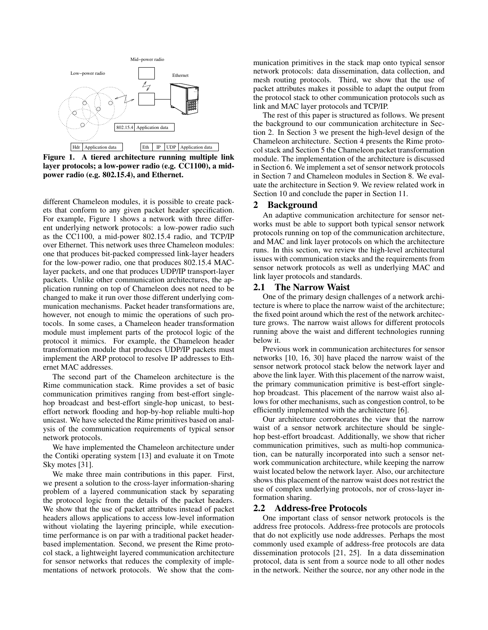

Figure 1. A tiered architecture running multiple link layer protocols; a low-power radio (e.g. CC1100), a midpower radio (e.g. 802.15.4), and Ethernet.

different Chameleon modules, it is possible to create packets that conform to any given packet header specification. For example, Figure 1 shows a network with three different underlying network protocols: a low-power radio such as the CC1100, a mid-power 802.15.4 radio, and TCP/IP over Ethernet. This network uses three Chameleon modules: one that produces bit-packed compressed link-layer headers for the low-power radio, one that produces 802.15.4 MAClayer packets, and one that produces UDP/IP transport-layer packets. Unlike other communication architectures, the application running on top of Chameleon does not need to be changed to make it run over those different underlying communication mechanisms. Packet header transformations are, however, not enough to mimic the operations of such protocols. In some cases, a Chameleon header transformation module must implement parts of the protocol logic of the protocol it mimics. For example, the Chameleon header transformation module that produces UDP/IP packets must implement the ARP protocol to resolve IP addresses to Ethernet MAC addresses.

The second part of the Chameleon architecture is the Rime communication stack. Rime provides a set of basic communication primitives ranging from best-effort singlehop broadcast and best-effort single-hop unicast, to besteffort network flooding and hop-by-hop reliable multi-hop unicast. We have selected the Rime primitives based on analysis of the communication requirements of typical sensor network protocols.

We have implemented the Chameleon architecture under the Contiki operating system [13] and evaluate it on Tmote Sky motes [31].

We make three main contributions in this paper. First, we present a solution to the cross-layer information-sharing problem of a layered communication stack by separating the protocol logic from the details of the packet headers. We show that the use of packet attributes instead of packet headers allows applications to access low-level information without violating the layering principle, while executiontime performance is on par with a traditional packet headerbased implementation. Second, we present the Rime protocol stack, a lightweight layered communication architecture for sensor networks that reduces the complexity of implementations of network protocols. We show that the communication primitives in the stack map onto typical sensor network protocols: data dissemination, data collection, and mesh routing protocols. Third, we show that the use of packet attributes makes it possible to adapt the output from the protocol stack to other communication protocols such as link and MAC layer protocols and TCP/IP.

The rest of this paper is structured as follows. We present the background to our communication architecture in Section 2. In Section 3 we present the high-level design of the Chameleon architecture. Section 4 presents the Rime protocol stack and Section 5 the Chameleon packet transformation module. The implementation of the architecture is discussed in Section 6. We implement a set of sensor network protocols in Section 7 and Chameleon modules in Section 8. We evaluate the architecture in Section 9. We review related work in Section 10 and conclude the paper in Section 11.

#### 2 Background

An adaptive communication architecture for sensor networks must be able to support both typical sensor network protocols running on top of the communication architecture, and MAC and link layer protocols on which the architecture runs. In this section, we review the high-level architectural issues with communication stacks and the requirements from sensor network protocols as well as underlying MAC and link layer protocols and standards.

#### 2.1 The Narrow Waist

One of the primary design challenges of a network architecture is where to place the narrow waist of the architecture; the fixed point around which the rest of the network architecture grows. The narrow waist allows for different protocols running above the waist and different technologies running below it.

Previous work in communication architectures for sensor networks [10, 16, 30] have placed the narrow waist of the sensor network protocol stack below the network layer and above the link layer. With this placement of the narrow waist, the primary communication primitive is best-effort singlehop broadcast. This placement of the narrow waist also allows for other mechanisms, such as congestion control, to be efficiently implemented with the architecture [6].

Our architecture corroborates the view that the narrow waist of a sensor network architecture should be singlehop best-effort broadcast. Additionally, we show that richer communication primitives, such as multi-hop communication, can be naturally incorporated into such a sensor network communication architecture, while keeping the narrow waist located below the network layer. Also, our architecture shows this placement of the narrow waist does not restrict the use of complex underlying protocols, nor of cross-layer information sharing.

### 2.2 Address-free Protocols

One important class of sensor network protocols is the address free protocols. Address-free protocols are protocols that do not explicitly use node addresses. Perhaps the most commonly used example of address-free protocols are data dissemination protocols [21, 25]. In a data dissemination protocol, data is sent from a source node to all other nodes in the network. Neither the source, nor any other node in the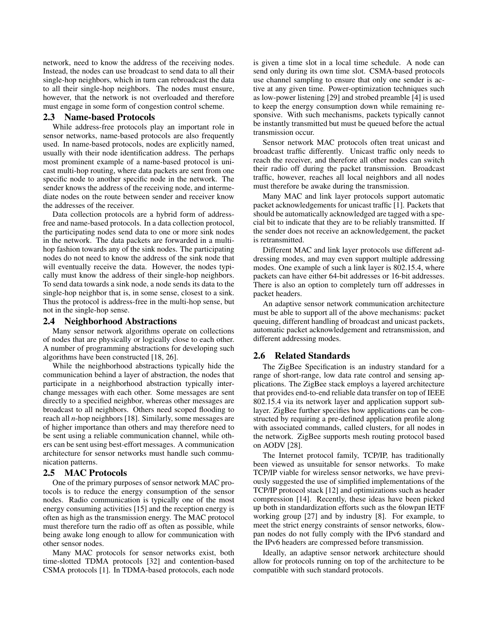network, need to know the address of the receiving nodes. Instead, the nodes can use broadcast to send data to all their single-hop neighbors, which in turn can rebroadcast the data to all their single-hop neighbors. The nodes must ensure, however, that the network is not overloaded and therefore must engage in some form of congestion control scheme.

# 2.3 Name-based Protocols

While address-free protocols play an important role in sensor networks, name-based protocols are also frequently used. In name-based protocols, nodes are explicitly named, usually with their node identification address. The perhaps most prominent example of a name-based protocol is unicast multi-hop routing, where data packets are sent from one specific node to another specific node in the network. The sender knows the address of the receiving node, and intermediate nodes on the route between sender and receiver know the addresses of the receiver.

Data collection protocols are a hybrid form of addressfree and name-based protocols. In a data collection protocol, the participating nodes send data to one or more sink nodes in the network. The data packets are forwarded in a multihop fashion towards any of the sink nodes. The participating nodes do not need to know the address of the sink node that will eventually receive the data. However, the nodes typically must know the address of their single-hop neighbors. To send data towards a sink node, a node sends its data to the single-hop neighbor that is, in some sense, closest to a sink. Thus the protocol is address-free in the multi-hop sense, but not in the single-hop sense.

#### 2.4 Neighborhood Abstractions

Many sensor network algorithms operate on collections of nodes that are physically or logically close to each other. A number of programming abstractions for developing such algorithms have been constructed [18, 26].

While the neighborhood abstractions typically hide the communication behind a layer of abstraction, the nodes that participate in a neighborhood abstraction typically interchange messages with each other. Some messages are sent directly to a specified neighbor, whereas other messages are broadcast to all neighbors. Others need scoped flooding to reach all *n*-hop neighbors [18]. Similarly, some messages are of higher importance than others and may therefore need to be sent using a reliable communication channel, while others can be sent using best-effort messages. A communication architecture for sensor networks must handle such communication patterns.

### 2.5 MAC Protocols

One of the primary purposes of sensor network MAC protocols is to reduce the energy consumption of the sensor nodes. Radio communication is typically one of the most energy consuming activities [15] and the reception energy is often as high as the transmission energy. The MAC protocol must therefore turn the radio off as often as possible, while being awake long enough to allow for communication with other sensor nodes.

Many MAC protocols for sensor networks exist, both time-slotted TDMA protocols [32] and contention-based CSMA protocols [1]. In TDMA-based protocols, each node is given a time slot in a local time schedule. A node can send only during its own time slot. CSMA-based protocols use channel sampling to ensure that only one sender is active at any given time. Power-optimization techniques such as low-power listening [29] and strobed preamble [4] is used to keep the energy consumption down while remaining responsive. With such mechanisms, packets typically cannot be instantly transmitted but must be queued before the actual transmission occur.

Sensor network MAC protocols often treat unicast and broadcast traffic differently. Unicast traffic only needs to reach the receiver, and therefore all other nodes can switch their radio off during the packet transmission. Broadcast traffic, however, reaches all local neighbors and all nodes must therefore be awake during the transmission.

Many MAC and link layer protocols support automatic packet acknowledgements for unicast traffic [1]. Packets that should be automatically acknowledged are tagged with a special bit to indicate that they are to be reliably transmitted. If the sender does not receive an acknowledgement, the packet is retransmitted.

Different MAC and link layer protocols use different addressing modes, and may even support multiple addressing modes. One example of such a link layer is 802.15.4, where packets can have either 64-bit addresses or 16-bit addresses. There is also an option to completely turn off addresses in packet headers.

An adaptive sensor network communication architecture must be able to support all of the above mechanisms: packet queuing, different handling of broadcast and unicast packets, automatic packet acknowledgement and retransmission, and different addressing modes.

#### 2.6 Related Standards

The ZigBee Specification is an industry standard for a range of short-range, low data rate control and sensing applications. The ZigBee stack employs a layered architecture that provides end-to-end reliable data transfer on top of IEEE 802.15.4 via its network layer and application support sublayer. ZigBee further specifies how applications can be constructed by requiring a pre-defined application profile along with associated commands, called clusters, for all nodes in the network. ZigBee supports mesh routing protocol based on AODV [28].

The Internet protocol family, TCP/IP, has traditionally been viewed as unsuitable for sensor networks. To make TCP/IP viable for wireless sensor networks, we have previously suggested the use of simplified implementations of the TCP/IP protocol stack [12] and optimizations such as header compression [14]. Recently, these ideas have been picked up both in standardization efforts such as the 6lowpan IETF working group [27] and by industry [8]. For example, to meet the strict energy constraints of sensor networks, 6lowpan nodes do not fully comply with the IPv6 standard and the IPv6 headers are compressed before transmission.

Ideally, an adaptive sensor network architecture should allow for protocols running on top of the architecture to be compatible with such standard protocols.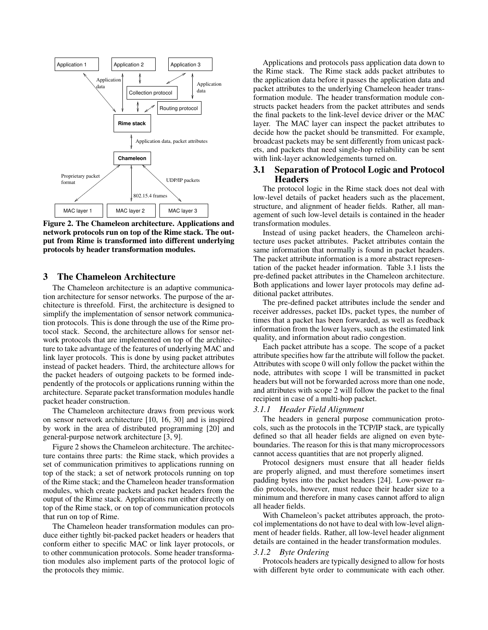

Figure 2. The Chameleon architecture. Applications and network protocols run on top of the Rime stack. The output from Rime is transformed into different underlying protocols by header transformation modules.

### 3 The Chameleon Architecture

The Chameleon architecture is an adaptive communication architecture for sensor networks. The purpose of the architecture is threefold. First, the architecture is designed to simplify the implementation of sensor network communication protocols. This is done through the use of the Rime protocol stack. Second, the architecture allows for sensor network protocols that are implemented on top of the architecture to take advantage of the features of underlying MAC and link layer protocols. This is done by using packet attributes instead of packet headers. Third, the architecture allows for the packet headers of outgoing packets to be formed independently of the protocols or applications running within the architecture. Separate packet transformation modules handle packet header construction.

The Chameleon architecture draws from previous work on sensor network architecture [10, 16, 30] and is inspired by work in the area of distributed programming [20] and general-purpose network architecture [3, 9].

Figure 2 shows the Chameleon architecture. The architecture contains three parts: the Rime stack, which provides a set of communication primitives to applications running on top of the stack; a set of network protocols running on top of the Rime stack; and the Chameleon header transformation modules, which create packets and packet headers from the output of the Rime stack. Applications run either directly on top of the Rime stack, or on top of communication protocols that run on top of Rime.

The Chameleon header transformation modules can produce either tightly bit-packed packet headers or headers that conform either to specific MAC or link layer protocols, or to other communication protocols. Some header transformation modules also implement parts of the protocol logic of the protocols they mimic.

Applications and protocols pass application data down to the Rime stack. The Rime stack adds packet attributes to the application data before it passes the application data and packet attributes to the underlying Chameleon header transformation module. The header transformation module constructs packet headers from the packet attributes and sends the final packets to the link-level device driver or the MAC layer. The MAC layer can inspect the packet attributes to decide how the packet should be transmitted. For example, broadcast packets may be sent differently from unicast packets, and packets that need single-hop reliability can be sent with link-layer acknowledgements turned on.

# 3.1 Separation of Protocol Logic and Protocol Headers

The protocol logic in the Rime stack does not deal with low-level details of packet headers such as the placement, structure, and alignment of header fields. Rather, all management of such low-level details is contained in the header transformation modules.

Instead of using packet headers, the Chameleon architecture uses packet attributes. Packet attributes contain the same information that normally is found in packet headers. The packet attribute information is a more abstract representation of the packet header information. Table 3.1 lists the pre-defined packet attributes in the Chameleon architecture. Both applications and lower layer protocols may define additional packet attributes.

The pre-defined packet attributes include the sender and receiver addresses, packet IDs, packet types, the number of times that a packet has been forwarded, as well as feedback information from the lower layers, such as the estimated link quality, and information about radio congestion.

Each packet attribute has a scope. The scope of a packet attribute specifies how far the attribute will follow the packet. Attributes with scope 0 will only follow the packet within the node, attributes with scope 1 will be transmitted in packet headers but will not be forwarded across more than one node, and attributes with scope 2 will follow the packet to the final recipient in case of a multi-hop packet.

#### *3.1.1 Header Field Alignment*

The headers in general purpose communication protocols, such as the protocols in the TCP/IP stack, are typically defined so that all header fields are aligned on even byteboundaries. The reason for this is that many microprocessors cannot access quantities that are not properly aligned.

Protocol designers must ensure that all header fields are properly aligned, and must therefore sometimes insert padding bytes into the packet headers [24]. Low-power radio protocols, however, must reduce their header size to a minimum and therefore in many cases cannot afford to align all header fields.

With Chameleon's packet attributes approach, the protocol implementations do not have to deal with low-level alignment of header fields. Rather, all low-level header alignment details are contained in the header transformation modules.

#### *3.1.2 Byte Ordering*

Protocols headers are typically designed to allow for hosts with different byte order to communicate with each other.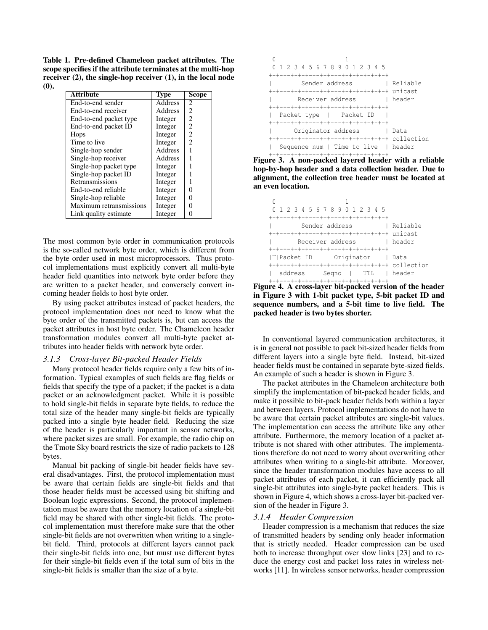Table 1. Pre-defined Chameleon packet attributes. The scope specifies if the attribute terminates at the multi-hop receiver (2), the single-hop receiver (1), in the local node (0).

| <b>Type</b>    | <b>Scope</b>   |
|----------------|----------------|
| Address        | 2              |
| <b>Address</b> | 2              |
| Integer        | 2              |
| Integer        | 2              |
| Integer        | 2              |
| Integer        | $\overline{c}$ |
| <b>Address</b> |                |
| Address        |                |
| Integer        |                |
| Integer        |                |
| Integer        |                |
| Integer        | 0              |
| Integer        | 0              |
| Integer        | 0              |
| Integer        |                |
|                |                |

The most common byte order in communication protocols is the so-called network byte order, which is different from the byte order used in most microprocessors. Thus protocol implementations must explicitly convert all multi-byte header field quantities into network byte order before they are written to a packet header, and conversely convert incoming header fields to host byte order.

By using packet attributes instead of packet headers, the protocol implementation does not need to know what the byte order of the transmitted packets is, but can access the packet attributes in host byte order. The Chameleon header transformation modules convert all multi-byte packet attributes into header fields with network byte order.

#### *3.1.3 Cross-layer Bit-packed Header Fields*

Many protocol header fields require only a few bits of information. Typical examples of such fields are flag fields or fields that specify the type of a packet; if the packet is a data packet or an acknowledgment packet. While it is possible to hold single-bit fields in separate byte fields, to reduce the total size of the header many single-bit fields are typically packed into a single byte header field. Reducing the size of the header is particularly important in sensor networks, where packet sizes are small. For example, the radio chip on the Tmote Sky board restricts the size of radio packets to 128 bytes.

Manual bit packing of single-bit header fields have several disadvantages. First, the protocol implementation must be aware that certain fields are single-bit fields and that those header fields must be accessed using bit shifting and Boolean logic expressions. Second, the protocol implementation must be aware that the memory location of a single-bit field may be shared with other single-bit fields. The protocol implementation must therefore make sure that the other single-bit fields are not overwritten when writing to a singlebit field. Third, protocols at different layers cannot pack their single-bit fields into one, but must use different bytes for their single-bit fields even if the total sum of bits in the single-bit fields is smaller than the size of a byte.



Figure 3. A non-packed layered header with a reliable hop-by-hop header and a data collection header. Due to alignment, the collection tree header must be located at an even location.



Figure 4. A cross-layer bit-packed version of the header in Figure 3 with 1-bit packet type, 5-bit packet ID and sequence numbers, and a 5-bit time to live field. The packed header is two bytes shorter.

In conventional layered communication architectures, it is in general not possible to pack bit-sized header fields from different layers into a single byte field. Instead, bit-sized header fields must be contained in separate byte-sized fields. An example of such a header is shown in Figure 3.

The packet attributes in the Chameleon architecture both simplify the implementation of bit-packed header fields, and make it possible to bit-pack header fields both within a layer and between layers. Protocol implementations do not have to be aware that certain packet attributes are single-bit values. The implementation can access the attribute like any other attribute. Furthermore, the memory location of a packet attribute is not shared with other attributes. The implementations therefore do not need to worry about overwriting other attributes when writing to a single-bit attribute. Moreover, since the header transformation modules have access to all packet attributes of each packet, it can efficiently pack all single-bit attributes into single-byte packet headers. This is shown in Figure 4, which shows a cross-layer bit-packed version of the header in Figure 3.

#### *3.1.4 Header Compression*

Header compression is a mechanism that reduces the size of transmitted headers by sending only header information that is strictly needed. Header compression can be used both to increase throughput over slow links [23] and to reduce the energy cost and packet loss rates in wireless networks [11]. In wireless sensor networks, header compression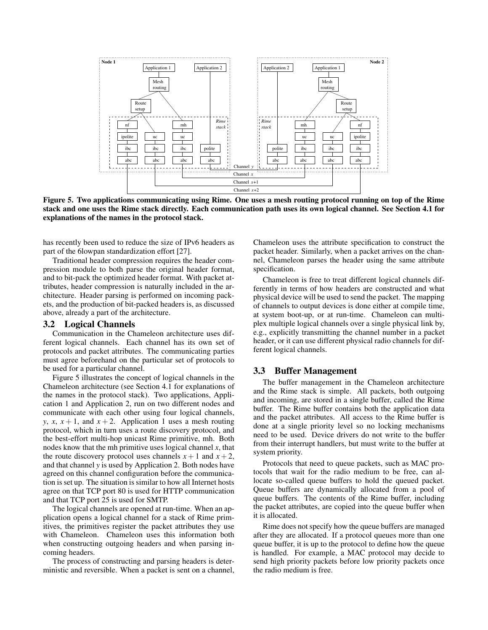

Figure 5. Two applications communicating using Rime. One uses a mesh routing protocol running on top of the Rime stack and one uses the Rime stack directly. Each communication path uses its own logical channel. See Section 4.1 for explanations of the names in the protocol stack.

has recently been used to reduce the size of IPv6 headers as part of the 6lowpan standardization effort [27].

Traditional header compression requires the header compression module to both parse the original header format, and to bit-pack the optimized header format. With packet attributes, header compression is naturally included in the architecture. Header parsing is performed on incoming packets, and the production of bit-packed headers is, as discussed above, already a part of the architecture.

#### 3.2 Logical Channels

Communication in the Chameleon architecture uses different logical channels. Each channel has its own set of protocols and packet attributes. The communicating parties must agree beforehand on the particular set of protocols to be used for a particular channel.

Figure 5 illustrates the concept of logical channels in the Chameleon architecture (see Section 4.1 for explanations of the names in the protocol stack). Two applications, Application 1 and Application 2, run on two different nodes and communicate with each other using four logical channels, *y*, *x*, *x* + 1, and *x* + 2. Application 1 uses a mesh routing protocol, which in turn uses a route discovery protocol, and the best-effort multi-hop unicast Rime primitive, mh. Both nodes know that the mh primitive uses logical channel *x*, that the route discovery protocol uses channels  $x + 1$  and  $x + 2$ , and that channel *y* is used by Application 2. Both nodes have agreed on this channel configuration before the communication is set up. The situation is similar to how all Internet hosts agree on that TCP port 80 is used for HTTP communication and that TCP port 25 is used for SMTP.

The logical channels are opened at run-time. When an application opens a logical channel for a stack of Rime primitives, the primitives register the packet attributes they use with Chameleon. Chameleon uses this information both when constructing outgoing headers and when parsing incoming headers.

The process of constructing and parsing headers is deterministic and reversible. When a packet is sent on a channel, Chameleon uses the attribute specification to construct the packet header. Similarly, when a packet arrives on the channel, Chameleon parses the header using the same attribute specification.

Chameleon is free to treat different logical channels differently in terms of how headers are constructed and what physical device will be used to send the packet. The mapping of channels to output devices is done either at compile time, at system boot-up, or at run-time. Chameleon can multiplex multiple logical channels over a single physical link by, e.g., explicitly transmitting the channel number in a packet header, or it can use different physical radio channels for different logical channels.

# 3.3 Buffer Management

The buffer management in the Chameleon architecture and the Rime stack is simple. All packets, both outgoing and incoming, are stored in a single buffer, called the Rime buffer. The Rime buffer contains both the application data and the packet attributes. All access to the Rime buffer is done at a single priority level so no locking mechanisms need to be used. Device drivers do not write to the buffer from their interrupt handlers, but must write to the buffer at system priority.

Protocols that need to queue packets, such as MAC protocols that wait for the radio medium to be free, can allocate so-called queue buffers to hold the queued packet. Queue buffers are dynamically allocated from a pool of queue buffers. The contents of the Rime buffer, including the packet attributes, are copied into the queue buffer when it is allocated.

Rime does not specify how the queue buffers are managed after they are allocated. If a protocol queues more than one queue buffer, it is up to the protocol to define how the queue is handled. For example, a MAC protocol may decide to send high priority packets before low priority packets once the radio medium is free.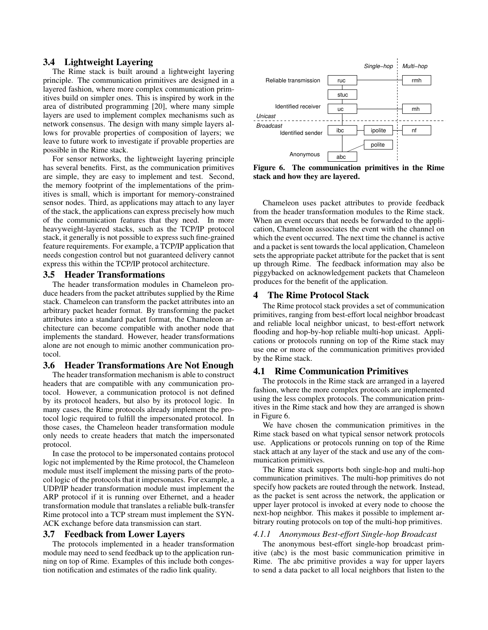# 3.4 Lightweight Layering

The Rime stack is built around a lightweight layering principle. The communication primitives are designed in a layered fashion, where more complex communication primitives build on simpler ones. This is inspired by work in the area of distributed programming [20], where many simple layers are used to implement complex mechanisms such as network consensus. The design with many simple layers allows for provable properties of composition of layers; we leave to future work to investigate if provable properties are possible in the Rime stack.

For sensor networks, the lightweight layering principle has several benefits. First, as the communication primitives are simple, they are easy to implement and test. Second, the memory footprint of the implementations of the primitives is small, which is important for memory-constrained sensor nodes. Third, as applications may attach to any layer of the stack, the applications can express precisely how much of the communication features that they need. In more heavyweight-layered stacks, such as the TCP/IP protocol stack, it generally is not possible to express such fine-grained feature requirements. For example, a TCP/IP application that needs congestion control but not guaranteed delivery cannot express this within the TCP/IP protocol architecture.

# 3.5 Header Transformations

The header transformation modules in Chameleon produce headers from the packet attributes supplied by the Rime stack. Chameleon can transform the packet attributes into an arbitrary packet header format. By transforming the packet attributes into a standard packet format, the Chameleon architecture can become compatible with another node that implements the standard. However, header transformations alone are not enough to mimic another communication protocol.

#### 3.6 Header Transformations Are Not Enough

The header transformation mechanism is able to construct headers that are compatible with any communication protocol. However, a communication protocol is not defined by its protocol headers, but also by its protocol logic. In many cases, the Rime protocols already implement the protocol logic required to fulfill the impersonated protocol. In those cases, the Chameleon header transformation module only needs to create headers that match the impersonated protocol.

In case the protocol to be impersonated contains protocol logic not implemented by the Rime protocol, the Chameleon module must itself implement the missing parts of the protocol logic of the protocols that it impersonates. For example, a UDP/IP header transformation module must implement the ARP protocol if it is running over Ethernet, and a header transformation module that translates a reliable bulk-transfer Rime protocol into a TCP stream must implement the SYN-ACK exchange before data transmission can start.

#### 3.7 Feedback from Lower Layers

The protocols implemented in a header transformation module may need to send feedback up to the application running on top of Rime. Examples of this include both congestion notification and estimates of the radio link quality.



Figure 6. The communication primitives in the Rime stack and how they are layered.

Chameleon uses packet attributes to provide feedback from the header transformation modules to the Rime stack. When an event occurs that needs be forwarded to the application, Chameleon associates the event with the channel on which the event occurred. The next time the channel is active and a packet is sent towards the local application, Chameleon sets the appropriate packet attribute for the packet that is sent up through Rime. The feedback information may also be piggybacked on acknowledgement packets that Chameleon produces for the benefit of the application.

#### 4 The Rime Protocol Stack

The Rime protocol stack provides a set of communication primitives, ranging from best-effort local neighbor broadcast and reliable local neighbor unicast, to best-effort network flooding and hop-by-hop reliable multi-hop unicast. Applications or protocols running on top of the Rime stack may use one or more of the communication primitives provided by the Rime stack.

# 4.1 Rime Communication Primitives

The protocols in the Rime stack are arranged in a layered fashion, where the more complex protocols are implemented using the less complex protocols. The communication primitives in the Rime stack and how they are arranged is shown in Figure 6.

We have chosen the communication primitives in the Rime stack based on what typical sensor network protocols use. Applications or protocols running on top of the Rime stack attach at any layer of the stack and use any of the communication primitives.

The Rime stack supports both single-hop and multi-hop communication primitives. The multi-hop primitives do not specify how packets are routed through the network. Instead, as the packet is sent across the network, the application or upper layer protocol is invoked at every node to choose the next-hop neighbor. This makes it possible to implement arbitrary routing protocols on top of the multi-hop primitives.

#### *4.1.1 Anonymous Best-effort Single-hop Broadcast*

The anonymous best-effort single-hop broadcast primitive (abc) is the most basic communication primitive in Rime. The abc primitive provides a way for upper layers to send a data packet to all local neighbors that listen to the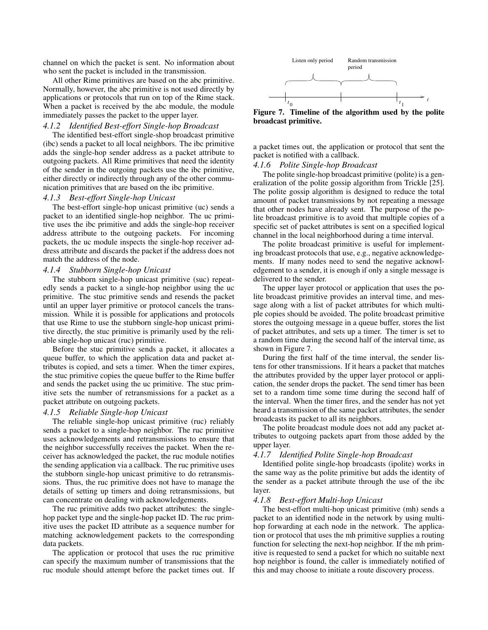channel on which the packet is sent. No information about who sent the packet is included in the transmission.

All other Rime primitives are based on the abc primitive. Normally, however, the abc primitive is not used directly by applications or protocols that run on top of the Rime stack. When a packet is received by the abc module, the module immediately passes the packet to the upper layer.

#### *4.1.2 Identified Best-effort Single-hop Broadcast*

The identified best-effort single-shop broadcast primitive (ibc) sends a packet to all local neighbors. The ibc primitive adds the single-hop sender address as a packet attribute to outgoing packets. All Rime primitives that need the identity of the sender in the outgoing packets use the ibc primitive, either directly or indirectly through any of the other communication primitives that are based on the ibc primitive.

#### *4.1.3 Best-effort Single-hop Unicast*

The best-effort single-hop unicast primitive (uc) sends a packet to an identified single-hop neighbor. The uc primitive uses the ibc primitive and adds the single-hop receiver address attribute to the outgoing packets. For incoming packets, the uc module inspects the single-hop receiver address attribute and discards the packet if the address does not match the address of the node.

#### *4.1.4 Stubborn Single-hop Unicast*

The stubborn single-hop unicast primitive (suc) repeatedly sends a packet to a single-hop neighbor using the uc primitive. The stuc primitive sends and resends the packet until an upper layer primitive or protocol cancels the transmission. While it is possible for applications and protocols that use Rime to use the stubborn single-hop unicast primitive directly, the stuc primitive is primarily used by the reliable single-hop unicast (ruc) primitive.

Before the stuc primitive sends a packet, it allocates a queue buffer, to which the application data and packet attributes is copied, and sets a timer. When the timer expires, the stuc primitive copies the queue buffer to the Rime buffer and sends the packet using the uc primitive. The stuc primitive sets the number of retransmissions for a packet as a packet attribute on outgoing packets.

#### *4.1.5 Reliable Single-hop Unicast*

The reliable single-hop unicast primitive (ruc) reliably sends a packet to a single-hop neighbor. The ruc primitive uses acknowledgements and retransmissions to ensure that the neighbor successfully receives the packet. When the receiver has acknowledged the packet, the ruc module notifies the sending application via a callback. The ruc primitive uses the stubborn single-hop unicast primitive to do retransmissions. Thus, the ruc primitive does not have to manage the details of setting up timers and doing retransmissions, but can concentrate on dealing with acknowledgements.

The ruc primitive adds two packet attributes: the singlehop packet type and the single-hop packet ID. The ruc primitive uses the packet ID attribute as a sequence number for matching acknowledgement packets to the corresponding data packets.

The application or protocol that uses the ruc primitive can specify the maximum number of transmissions that the ruc module should attempt before the packet times out. If



Figure 7. Timeline of the algorithm used by the polite broadcast primitive.

a packet times out, the application or protocol that sent the packet is notified with a callback.

# *4.1.6 Polite Single-hop Broadcast*

The polite single-hop broadcast primitive (polite) is a generalization of the polite gossip algorithm from Trickle [25]. The polite gossip algorithm is designed to reduce the total amount of packet transmissions by not repeating a message that other nodes have already sent. The purpose of the polite broadcast primitive is to avoid that multiple copies of a specific set of packet attributes is sent on a specified logical channel in the local neighborhood during a time interval.

The polite broadcast primitive is useful for implementing broadcast protocols that use, e.g., negative acknowledgements. If many nodes need to send the negative acknowledgement to a sender, it is enough if only a single message is delivered to the sender.

The upper layer protocol or application that uses the polite broadcast primitive provides an interval time, and message along with a list of packet attributes for which multiple copies should be avoided. The polite broadcast primitive stores the outgoing message in a queue buffer, stores the list of packet attributes, and sets up a timer. The timer is set to a random time during the second half of the interval time, as shown in Figure 7.

During the first half of the time interval, the sender listens for other transmissions. If it hears a packet that matches the attributes provided by the upper layer protocol or application, the sender drops the packet. The send timer has been set to a random time some time during the second half of the interval. When the timer fires, and the sender has not yet heard a transmission of the same packet attributes, the sender broadcasts its packet to all its neighbors.

The polite broadcast module does not add any packet attributes to outgoing packets apart from those added by the upper layer.

#### *4.1.7 Identified Polite Single-hop Broadcast*

Identified polite single-hop broadcasts (ipolite) works in the same way as the polite primitive but adds the identity of the sender as a packet attribute through the use of the ibc layer.

#### *4.1.8 Best-effort Multi-hop Unicast*

The best-effort multi-hop unicast primitive (mh) sends a packet to an identified node in the network by using multihop forwarding at each node in the network. The application or protocol that uses the mh primitive supplies a routing function for selecting the next-hop neighbor. If the mh primitive is requested to send a packet for which no suitable next hop neighbor is found, the caller is immediately notified of this and may choose to initiate a route discovery process.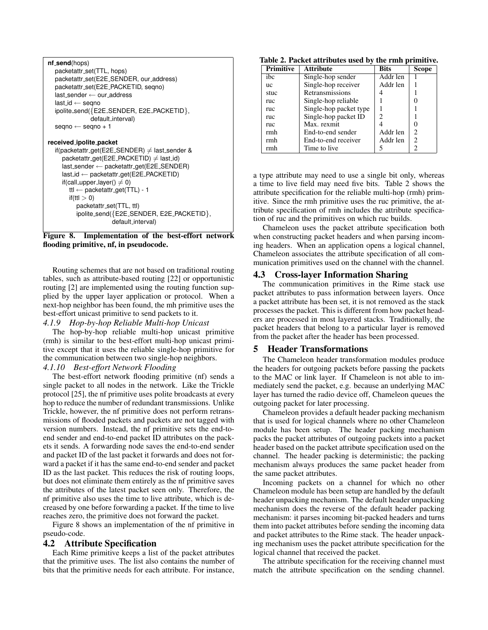| nf_send(hops)                                          |
|--------------------------------------------------------|
| packetattr_set(TTL, hops)                              |
| packetattr_set(E2E_SENDER, our_address)                |
| packetattr_set(E2E_PACKETID, segno)                    |
| $last_s$ ender $\leftarrow$ our_address                |
| last_id ← segno                                        |
| ipolite_send({E2E_SENDER, E2E_PACKETID},               |
| default_interval)                                      |
| seqno $\leftarrow$ seqno + 1                           |
|                                                        |
| received_ipolite_packet                                |
| if(packetattr_get(E2E_SENDER) $\neq$ last_sender &     |
| packetattr_get(E2E_PACKETID) $\neq$ last_id)           |
| $last_s$ ender $\leftarrow$ packetattr_get(E2E_SENDER) |
| $last_id \leftarrow packetattr.get(E2E.PACKETID)$      |
| if(call_upper_layer() $\neq$ 0)                        |
| ttl $\leftarrow$ packetattr_get(TTL) - 1               |
| if(ttl $> 0$ )                                         |
| packetattr_set(TTL, ttl)                               |
| ipolite_send({E2E_SENDER, E2E_PACKETID},               |
| default_interval)                                      |
|                                                        |

Figure 8. Implementation of the best-effort network flooding primitive, nf, in pseudocode.

Routing schemes that are not based on traditional routing tables, such as attribute-based routing [22] or opportunistic routing [2] are implemented using the routing function supplied by the upper layer application or protocol. When a next-hop neighbor has been found, the mh primitive uses the best-effort unicast primitive to send packets to it.

# *4.1.9 Hop-by-hop Reliable Multi-hop Unicast*

The hop-by-hop reliable multi-hop unicast primitive (rmh) is similar to the best-effort multi-hop unicast primitive except that it uses the reliable single-hop primitive for the communication between two single-hop neighbors.

# *4.1.10 Best-effort Network Flooding*

The best-effort network flooding primitive (nf) sends a single packet to all nodes in the network. Like the Trickle protocol [25], the nf primitive uses polite broadcasts at every hop to reduce the number of redundant transmissions. Unlike Trickle, however, the nf primitive does not perform retransmissions of flooded packets and packets are not tagged with version numbers. Instead, the nf primitive sets the end-toend sender and end-to-end packet ID attributes on the packets it sends. A forwarding node saves the end-to-end sender and packet ID of the last packet it forwards and does not forward a packet if it has the same end-to-end sender and packet ID as the last packet. This reduces the risk of routing loops, but does not eliminate them entirely as the nf primitive saves the attributes of the latest packet seen only. Therefore, the nf primitive also uses the time to live attribute, which is decreased by one before forwarding a packet. If the time to live reaches zero, the primitive does not forward the packet.

Figure 8 shows an implementation of the nf primitive in pseudo-code.

# 4.2 Attribute Specification

Each Rime primitive keeps a list of the packet attributes that the primitive uses. The list also contains the number of bits that the primitive needs for each attribute. For instance,

Table 2. Packet attributes used by the rmh primitive.

| Primitive | <b>Attribute</b>       | <b>Bits</b> | <b>Scope</b> |
|-----------|------------------------|-------------|--------------|
| ibc       | Single-hop sender      | Addr len    |              |
| uс        | Single-hop receiver    | Addr len    |              |
| stuc      | Retransmissions        |             |              |
| ruc       | Single-hop reliable    |             |              |
| ruc       | Single-hop packet type |             |              |
| ruc       | Single-hop packet ID   | っ           |              |
| ruc       | Max. rexmit            |             |              |
| rmh       | End-to-end sender      | Addr len    | 2            |
| rmh       | End-to-end receiver    | Addr len    | 2            |
| rmh       | Time to live           |             |              |

a type attribute may need to use a single bit only, whereas a time to live field may need five bits. Table 2 shows the attribute specification for the reliable multi-hop (rmh) primitive. Since the rmh primitive uses the ruc primitive, the attribute specification of rmh includes the attribute specification of ruc and the primitives on which ruc builds.

Chameleon uses the packet attribute specification both when constructing packet headers and when parsing incoming headers. When an application opens a logical channel, Chameleon associates the attribute specification of all communication primitives used on the channel with the channel.

# 4.3 Cross-layer Information Sharing

The communication primitives in the Rime stack use packet attributes to pass information between layers. Once a packet attribute has been set, it is not removed as the stack processes the packet. This is different from how packet headers are processed in most layered stacks. Traditionally, the packet headers that belong to a particular layer is removed from the packet after the header has been processed.

# 5 Header Transformations

The Chameleon header transformation modules produce the headers for outgoing packets before passing the packets to the MAC or link layer. If Chameleon is not able to immediately send the packet, e.g. because an underlying MAC layer has turned the radio device off, Chameleon queues the outgoing packet for later processing.

Chameleon provides a default header packing mechanism that is used for logical channels where no other Chameleon module has been setup. The header packing mechanism packs the packet attributes of outgoing packets into a packet header based on the packet attribute specification used on the channel. The header packing is deterministic; the packing mechanism always produces the same packet header from the same packet attributes.

Incoming packets on a channel for which no other Chameleon module has been setup are handled by the default header unpacking mechanism. The default header unpacking mechanism does the reverse of the default header packing mechanism: it parses incoming bit-packed headers and turns them into packet attributes before sending the incoming data and packet attributes to the Rime stack. The header unpacking mechanism uses the packet attribute specification for the logical channel that received the packet.

The attribute specification for the receiving channel must match the attribute specification on the sending channel.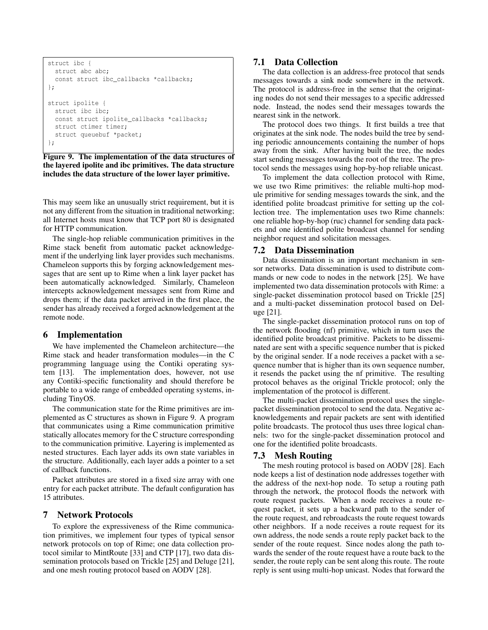```
struct ibc {
  struct abc abc;
  const struct ibc_callbacks *callbacks;
};
struct ipolite {
 struct ibc ibc;
  const struct ipolite_callbacks *callbacks;
  struct ctimer timer;
  struct queuebuf *packet;
};
```
Figure 9. The implementation of the data structures of the layered ipolite and ibc primitives. The data structure includes the data structure of the lower layer primitive.

This may seem like an unusually strict requirement, but it is not any different from the situation in traditional networking; all Internet hosts must know that TCP port 80 is designated for HTTP communication.

The single-hop reliable communication primitives in the Rime stack benefit from automatic packet acknowledgement if the underlying link layer provides such mechanisms. Chameleon supports this by forging acknowledgement messages that are sent up to Rime when a link layer packet has been automatically acknowledged. Similarly, Chameleon intercepts acknowledgement messages sent from Rime and drops them; if the data packet arrived in the first place, the sender has already received a forged acknowledgement at the remote node.

# 6 Implementation

We have implemented the Chameleon architecture—the Rime stack and header transformation modules—in the C programming language using the Contiki operating system [13]. The implementation does, however, not use any Contiki-specific functionality and should therefore be portable to a wide range of embedded operating systems, including TinyOS.

The communication state for the Rime primitives are implemented as C structures as shown in Figure 9. A program that communicates using a Rime communication primitive statically allocates memory for the C structure corresponding to the communication primitive. Layering is implemented as nested structures. Each layer adds its own state variables in the structure. Additionally, each layer adds a pointer to a set of callback functions.

Packet attributes are stored in a fixed size array with one entry for each packet attribute. The default configuration has 15 attributes.

# 7 Network Protocols

To explore the expressiveness of the Rime communication primitives, we implement four types of typical sensor network protocols on top of Rime; one data collection protocol similar to MintRoute [33] and CTP [17], two data dissemination protocols based on Trickle [25] and Deluge [21], and one mesh routing protocol based on AODV [28].

# 7.1 Data Collection

The data collection is an address-free protocol that sends messages towards a sink node somewhere in the network. The protocol is address-free in the sense that the originating nodes do not send their messages to a specific addressed node. Instead, the nodes send their messages towards the nearest sink in the network.

The protocol does two things. It first builds a tree that originates at the sink node. The nodes build the tree by sending periodic announcements containing the number of hops away from the sink. After having built the tree, the nodes start sending messages towards the root of the tree. The protocol sends the messages using hop-by-hop reliable unicast.

To implement the data collection protocol with Rime, we use two Rime primitives: the reliable multi-hop module primitive for sending messages towards the sink, and the identified polite broadcast primitive for setting up the collection tree. The implementation uses two Rime channels: one reliable hop-by-hop (ruc) channel for sending data packets and one identified polite broadcast channel for sending neighbor request and solicitation messages.

# 7.2 Data Dissemination

Data dissemination is an important mechanism in sensor networks. Data dissemination is used to distribute commands or new code to nodes in the network [25]. We have implemented two data dissemination protocols with Rime: a single-packet dissemination protocol based on Trickle [25] and a multi-packet dissemination protocol based on Deluge [21].

The single-packet dissemination protocol runs on top of the network flooding (nf) primitive, which in turn uses the identified polite broadcast primitive. Packets to be disseminated are sent with a specific sequence number that is picked by the original sender. If a node receives a packet with a sequence number that is higher than its own sequence number, it resends the packet using the nf primitive. The resulting protocol behaves as the original Trickle protocol; only the implementation of the protocol is different.

The multi-packet dissemination protocol uses the singlepacket dissemination protocol to send the data. Negative acknowledgements and repair packets are sent with identified polite broadcasts. The protocol thus uses three logical channels: two for the single-packet dissemination protocol and one for the identified polite broadcasts.

# 7.3 Mesh Routing

The mesh routing protocol is based on AODV [28]. Each node keeps a list of destination node addresses together with the address of the next-hop node. To setup a routing path through the network, the protocol floods the network with route request packets. When a node receives a route request packet, it sets up a backward path to the sender of the route request, and rebroadcasts the route request towards other neighbors. If a node receives a route request for its own address, the node sends a route reply packet back to the sender of the route request. Since nodes along the path towards the sender of the route request have a route back to the sender, the route reply can be sent along this route. The route reply is sent using multi-hop unicast. Nodes that forward the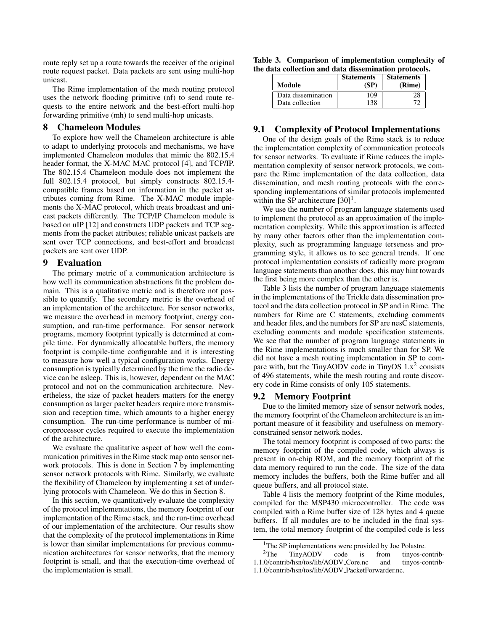route reply set up a route towards the receiver of the original route request packet. Data packets are sent using multi-hop unicast.

The Rime implementation of the mesh routing protocol uses the network flooding primitive (nf) to send route requests to the entire network and the best-effort multi-hop forwarding primitive (mh) to send multi-hop unicasts.

#### 8 Chameleon Modules

To explore how well the Chameleon architecture is able to adapt to underlying protocols and mechanisms, we have implemented Chameleon modules that mimic the 802.15.4 header format, the X-MAC MAC protocol [4], and TCP/IP. The 802.15.4 Chameleon module does not implement the full 802.15.4 protocol, but simply constructs 802.15.4compatible frames based on information in the packet attributes coming from Rime. The X-MAC module implements the X-MAC protocol, which treats broadcast and unicast packets differently. The TCP/IP Chameleon module is based on uIP [12] and constructs UDP packets and TCP segments from the packet attributes; reliable unicast packets are sent over TCP connections, and best-effort and broadcast packets are sent over UDP.

### 9 Evaluation

The primary metric of a communication architecture is how well its communication abstractions fit the problem domain. This is a qualitative metric and is therefore not possible to quantify. The secondary metric is the overhead of an implementation of the architecture. For sensor networks, we measure the overhead in memory footprint, energy consumption, and run-time performance. For sensor network programs, memory footprint typically is determined at compile time. For dynamically allocatable buffers, the memory footprint is compile-time configurable and it is interesting to measure how well a typical configuration works. Energy consumption is typically determined by the time the radio device can be asleep. This is, however, dependent on the MAC protocol and not on the communication architecture. Nevertheless, the size of packet headers matters for the energy consumption as larger packet headers require more transmission and reception time, which amounts to a higher energy consumption. The run-time performance is number of microprocessor cycles required to execute the implementation of the architecture.

We evaluate the qualitative aspect of how well the communication primitives in the Rime stack map onto sensor network protocols. This is done in Section 7 by implementing sensor network protocols with Rime. Similarly, we evaluate the flexibility of Chameleon by implementing a set of underlying protocols with Chameleon. We do this in Section 8.

In this section, we quantitatively evaluate the complexity of the protocol implementations, the memory footprint of our implementation of the Rime stack, and the run-time overhead of our implementation of the architecture. Our results show that the complexity of the protocol implementations in Rime is lower than similar implementations for previous communication architectures for sensor networks, that the memory footprint is small, and that the execution-time overhead of the implementation is small.

|  | Table 3. Comparison of implementation complexity of   |  |
|--|-------------------------------------------------------|--|
|  | the data collection and data dissemination protocols. |  |

| Module                                | <b>Statements</b><br>(SP) | <b>Statements</b><br>(Rime) |
|---------------------------------------|---------------------------|-----------------------------|
| Data dissemination<br>Data collection | 109<br>138                |                             |
|                                       |                           |                             |

#### 9.1 Complexity of Protocol Implementations

One of the design goals of the Rime stack is to reduce the implementation complexity of communication protocols for sensor networks. To evaluate if Rime reduces the implementation complexity of sensor network protocols, we compare the Rime implementation of the data collection, data dissemination, and mesh routing protocols with the corresponding implementations of similar protocols implemented within the  $\overline{SP}$  architecture  $[30]$ <sup>1</sup>.

We use the number of program language statements used to implement the protocol as an approximation of the implementation complexity. While this approximation is affected by many other factors other than the implementation complexity, such as programming language terseness and programming style, it allows us to see general trends. If one protocol implementation consists of radically more program language statements than another does, this may hint towards the first being more complex than the other is.

Table 3 lists the number of program language statements in the implementations of the Trickle data dissemination protocol and the data collection protocol in SP and in Rime. The numbers for Rime are C statements, excluding comments and header files, and the numbers for SP are nesC statements, excluding comments and module specification statements. We see that the number of program language statements in the Rime implementations is much smaller than for SP. We did not have a mesh routing implementation in SP to compare with, but the TinyAODV code in TinyOS  $1.x^2$  consists of 496 statements, while the mesh routing and route discovery code in Rime consists of only 105 statements.

### 9.2 Memory Footprint

Due to the limited memory size of sensor network nodes, the memory footprint of the Chameleon architecture is an important measure of it feasibility and usefulness on memoryconstrained sensor network nodes.

The total memory footprint is composed of two parts: the memory footprint of the compiled code, which always is present in on-chip ROM, and the memory footprint of the data memory required to run the code. The size of the data memory includes the buffers, both the Rime buffer and all queue buffers, and all protocol state.

Table 4 lists the memory footprint of the Rime modules, compiled for the MSP430 microcontroller. The code was compiled with a Rime buffer size of 128 bytes and 4 queue buffers. If all modules are to be included in the final system, the total memory footprint of the compiled code is less

<sup>&</sup>lt;sup>1</sup>The SP implementations were provided by Joe Polastre.

 ${}^{2}$ The TinyAODV code is from tinyos-contrib-1.1.0/contrib/hsn/tos/lib/AODV Core.nc and tinyos-contrib-1.1.0/contrib/hsn/tos/lib/AODV PacketForwarder.nc.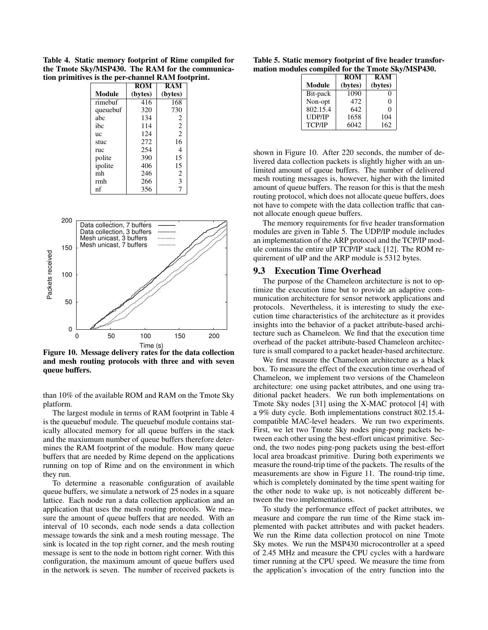Table 4. Static memory footprint of Rime compiled for the Tmote Sky/MSP430. The RAM for the communication primitives is the per-channel RAM footprint.

|           | <b>ROM</b> | <b>RAM</b>     |
|-----------|------------|----------------|
| Module    | (bytes)    | (bytes)        |
| rimebuf   | 416        | 168            |
| queuebuf  | 320        | 730            |
| abc       | 134        | $\overline{2}$ |
| ibc       | 114        | $\overline{2}$ |
| <b>uc</b> | 124        | $\overline{2}$ |
| stuc      | 272        | 16             |
| ruc       | 254        | 4              |
| polite    | 390        | 15             |
| ipolite   | 406        | 15             |
| mh        | 246        | 2              |
| rmh       | 266        | 3              |
| nf        | 356        | 7              |



Figure 10. Message delivery rates for the data collection and mesh routing protocols with three and with seven queue buffers.

than 10% of the available ROM and RAM on the Tmote Sky platform.

The largest module in terms of RAM footprint in Table 4 is the queuebuf module. The queuebuf module contains statically allocated memory for all queue buffers in the stack and the maxiumum number of queue buffers therefore determines the RAM footprint of the module. How many queue buffers that are needed by Rime depend on the applications running on top of Rime and on the environment in which they run.

To determine a reasonable configuration of available queue buffers, we simulate a network of 25 nodes in a square lattice. Each node run a data collection application and an application that uses the mesh routing protocols. We measure the amount of queue buffers that are needed. With an interval of 10 seconds, each node sends a data collection message towards the sink and a mesh routing message. The sink is located in the top right corner, and the mesh routing message is sent to the node in bottom right corner. With this configuration, the maximum amount of queue buffers used in the network is seven. The number of received packets is

Table 5. Static memory footprint of five header transformation modules compiled for the Tmote Sky/MSP430.

|               | <b>ROM</b> | <b>RAM</b> |
|---------------|------------|------------|
| Module        | (bytes)    | (bytes)    |
| Bit-pack      | 1090       |            |
| Non-opt       | 472        | 0          |
| 802.15.4      | 642        | 0          |
| <b>UDP/IP</b> | 1658       | 104        |
| <b>TCP/IP</b> | 6042       | 162        |

shown in Figure 10. After 220 seconds, the number of delivered data collection packets is slightly higher with an unlimited amount of queue buffers. The number of delivered mesh routing messages is, however, higher with the limited amount of queue buffers. The reason for this is that the mesh routing protocol, which does not allocate queue buffers, does not have to compete with the data collection traffic that cannot allocate enough queue buffers.

The memory requirements for five header transformation modules are given in Table 5. The UDP/IP module includes an implementation of the ARP protocol and the TCP/IP module contains the entire uIP TCP/IP stack [12]. The ROM requirement of uIP and the ARP module is 5312 bytes.

### 9.3 Execution Time Overhead

The purpose of the Chameleon architecture is not to optimize the execution time but to provide an adaptive communication architecture for sensor network applications and protocols. Nevertheless, it is interesting to study the execution time characteristics of the architecture as it provides insights into the behavior of a packet attribute-based architecture such as Chameleon. We find that the execution time overhead of the packet attribute-based Chameleon architecture is small compared to a packet header-based architecture.

We first measure the Chameleon architecture as a black box. To measure the effect of the execution time overhead of Chameleon, we implement two versions of the Chameleon architecture: one using packet attributes, and one using traditional packet headers. We run both implementations on Tmote Sky nodes [31] using the X-MAC protocol [4] with a 9% duty cycle. Both implementations construct 802.15.4 compatible MAC-level headers. We run two experiments. First, we let two Tmote Sky nodes ping-pong packets between each other using the best-effort unicast primitive. Second, the two nodes ping-pong packets using the best-effort local area broadcast primitive. During both experiments we measure the round-trip time of the packets. The results of the measurements are show in Figure 11. The round-trip time, which is completely dominated by the time spent waiting for the other node to wake up, is not noticeably different between the two implementations.

To study the performance effect of packet attributes, we measure and compare the run time of the Rime stack implemented with packet attributes and with packet headers. We run the Rime data collection protocol on nine Tmote Sky motes. We run the MSP430 microcontroller at a speed of 2.45 MHz and measure the CPU cycles with a hardware timer running at the CPU speed. We measure the time from the application's invocation of the entry function into the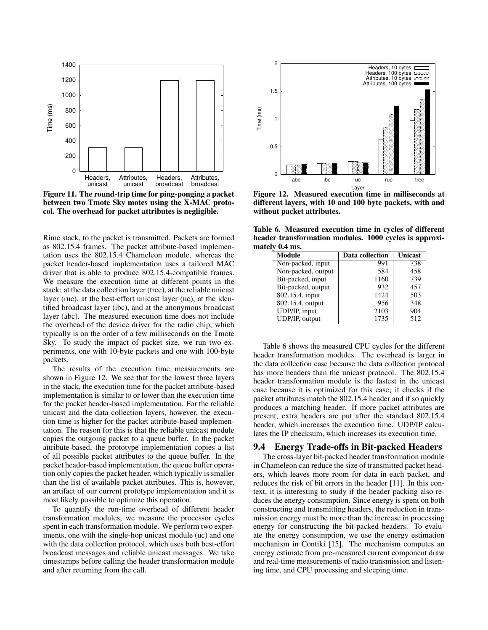

Figure 11. The round-trip time for ping-ponging a packet between two Tmote Sky motes using the X-MAC protocol. The overhead for packet attributes is negligible.

Rime stack, to the packet is transmitted. Packets are formed as 802.15.4 frames. The packet attribute-based implementation uses the 802.15.4 Chameleon module, whereas the packet header-based implementation uses a tailored MAC driver that is able to produce 802.15.4-compatible frames. We measure the execution time at different points in the stack: at the data collection layer (tree), at the reliable unicast layer (ruc), at the best-effort unicast layer (uc), at the identified broadcast layer (ibc), and at the anonymous broadcast layer (abc). The measured execution time does not include the overhead of the device driver for the radio chip, which typically is on the order of a few milliseconds on the Tmote Sky. To study the impact of packet size, we run two experiments, one with 10-byte packets and one with 100-byte packets.

The results of the execution time measurements are shown in Figure 12. We see that for the lowest three layers in the stack, the execution time for the packet attribute-based implementation is similar to or lower than the execution time for the packet header-based implementation. For the reliable unicast and the data collection layers, however, the execution time is higher for the packet attribute-based implementation. The reason for this is that the reliable unicast module copies the outgoing packet to a queue buffer. In the packet attribute-based, the prototype implementation copies a list of all possible packet attributes to the queue buffer. In the packet header-based implementation, the queue buffer operation only copies the packet header, which typically is smaller than the list of available packet attributes. This is, however, an artifact of our current prototype implementation and it is most likely possible to optimize this operation.

To quantify the run-time overhead of different header transformation modules, we measure the processor cycles spent in each transformation module. We perform two experiments, one with the single-hop unicast module (uc) and one with the data collection protocol, which uses both best-effort broadcast messages and reliable unicast messages. We take timestamps before calling the header transformation module and after returning from the call.



Figure 12. Measured execution time in milliseconds at different layers, with 10 and 100 byte packets, with and without packet attributes.

Table 6. Measured execution time in cycles of different header transformation modules. 1000 cycles is approximately 0.4 ms.

| <b>Unicast</b> |
|----------------|
| 738            |
| 458            |
| 739            |
| 457            |
| 503            |
| 348            |
| 904            |
| 512            |
|                |

Table 6 shows the measured CPU cycles for the different header transformation modules. The overhead is larger in the data collection case because the data collection protocol has more headers than the unicast protocol. The 802.15.4 header transformation module is the fastest in the unicast case because it is optimized for this case; it checks if the packet attributes match the 802.15.4 header and if so quickly produces a matching header. If more packet attributes are present, extra headers are put after the standard 802.15.4 header, which increases the execution time. UDP/IP calculates the IP checksum, which increases its execution time.

#### 9.4 Energy Trade-offs in Bit-packed Headers

The cross-layer bit-packed header transformation module in Chameleon can reduce the size of transmitted packet headers, which leaves more room for data in each packet, and reduces the risk of bit errors in the header [11]. In this context, it is interesting to study if the header packing also reduces the energy consumption. Since energy is spent on both constructing and transmitting headers, the reduction in transmission energy must be more than the increase in processing energy for constructing the bit-packed headers. To evaluate the energy consumption, we use the energy estimation mechanism in Contiki [15]. The mechanism computes an energy estimate from pre-measured current component draw and real-time measurements of radio transmission and listening time, and CPU processing and sleeping time.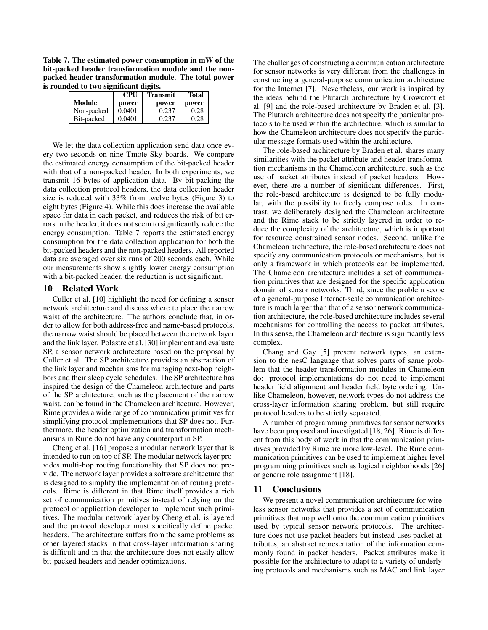Table 7. The estimated power consumption in mW of the bit-packed header transformation module and the nonpacked header transformation module. The total power is rounded to two significant digits.

|            | <b>CPU</b><br>Transmit |       | <b>Total</b> |
|------------|------------------------|-------|--------------|
| Module     | power                  | power | power        |
| Non-packed | 0.0401                 | 0.237 | 0.28         |
| Bit-packed | 0.0401                 | 0.237 | 0.28         |

We let the data collection application send data once every two seconds on nine Tmote Sky boards. We compare the estimated energy consumption of the bit-packed header with that of a non-packed header. In both experiments, we transmit 16 bytes of application data. By bit-packing the data collection protocol headers, the data collection header size is reduced with 33% from twelve bytes (Figure 3) to eight bytes (Figure 4). While this does increase the available space for data in each packet, and reduces the risk of bit errors in the header, it does not seem to significantly reduce the energy consumption. Table 7 reports the estimated energy consumption for the data collection application for both the bit-packed headers and the non-packed headers. All reported data are averaged over six runs of 200 seconds each. While our measurements show slightly lower energy consumption with a bit-packed header, the reduction is not significant.

# 10 Related Work

Culler et al. [10] highlight the need for defining a sensor network architecture and discuss where to place the narrow waist of the architecture. The authors conclude that, in order to allow for both address-free and name-based protocols, the narrow waist should be placed between the network layer and the link layer. Polastre et al. [30] implement and evaluate SP, a sensor network architecture based on the proposal by Culler et al. The SP architecture provides an abstraction of the link layer and mechanisms for managing next-hop neighbors and their sleep cycle schedules. The SP architecture has inspired the design of the Chameleon architecture and parts of the SP architecture, such as the placement of the narrow waist, can be found in the Chameleon architecture. However, Rime provides a wide range of communication primitives for simplifying protocol implementations that SP does not. Furthermore, the header optimization and transformation mechanisms in Rime do not have any counterpart in SP.

Cheng et al. [16] propose a modular network layer that is intended to run on top of SP. The modular network layer provides multi-hop routing functionality that SP does not provide. The network layer provides a software architecture that is designed to simplify the implementation of routing protocols. Rime is different in that Rime itself provides a rich set of communication primitives instead of relying on the protocol or application developer to implement such primitives. The modular network layer by Cheng et al. is layered and the protocol developer must specifically define packet headers. The architecture suffers from the same problems as other layered stacks in that cross-layer information sharing is difficult and in that the architecture does not easily allow bit-packed headers and header optimizations.

The challenges of constructing a communication architecture for sensor networks is very different from the challenges in constructing a general-purpose communication architecture for the Internet [7]. Nevertheless, our work is inspired by the ideas behind the Plutarch architecture by Crowcroft et al. [9] and the role-based architecture by Braden et al. [3]. The Plutarch architecture does not specify the particular protocols to be used within the architecture, which is similar to how the Chameleon architecture does not specify the particular message formats used within the architecture.

The role-based architecture by Braden et al. shares many similarities with the packet attribute and header transformation mechanisms in the Chameleon architecture, such as the use of packet attributes instead of packet headers. However, there are a number of significant differences. First, the role-based architecture is designed to be fully modular, with the possibility to freely compose roles. In contrast, we deliberately designed the Chameleon architecture and the Rime stack to be strictly layered in order to reduce the complexity of the architecture, which is important for resource constrained sensor nodes. Second, unlike the Chameleon architecture, the role-based architecture does not specify any communication protocols or mechanisms, but is only a framework in which protocols can be implemented. The Chameleon architecture includes a set of communication primitives that are designed for the specific application domain of sensor networks. Third, since the problem scope of a general-purpose Internet-scale communication architecture is much larger than that of a sensor network communication architecture, the role-based architecture includes several mechanisms for controlling the access to packet attributes. In this sense, the Chameleon architecture is significantly less complex.

Chang and Gay [5] present network types, an extension to the nesC language that solves parts of same problem that the header transformation modules in Chameleon do: protocol implementations do not need to implement header field alignment and header field byte ordering. Unlike Chameleon, however, network types do not address the cross-layer information sharing problem, but still require protocol headers to be strictly separated.

A number of programming primitives for sensor networks have been proposed and investigated [18, 26]. Rime is different from this body of work in that the communication primitives provided by Rime are more low-level. The Rime communication primitives can be used to implement higher level programming primitives such as logical neighborhoods [26] or generic role assignment [18].

# 11 Conclusions

We present a novel communication architecture for wireless sensor networks that provides a set of communication primitives that map well onto the communication primitives used by typical sensor network protocols. The architecture does not use packet headers but instead uses packet attributes, an abstract representation of the information commonly found in packet headers. Packet attributes make it possible for the architecture to adapt to a variety of underlying protocols and mechanisms such as MAC and link layer